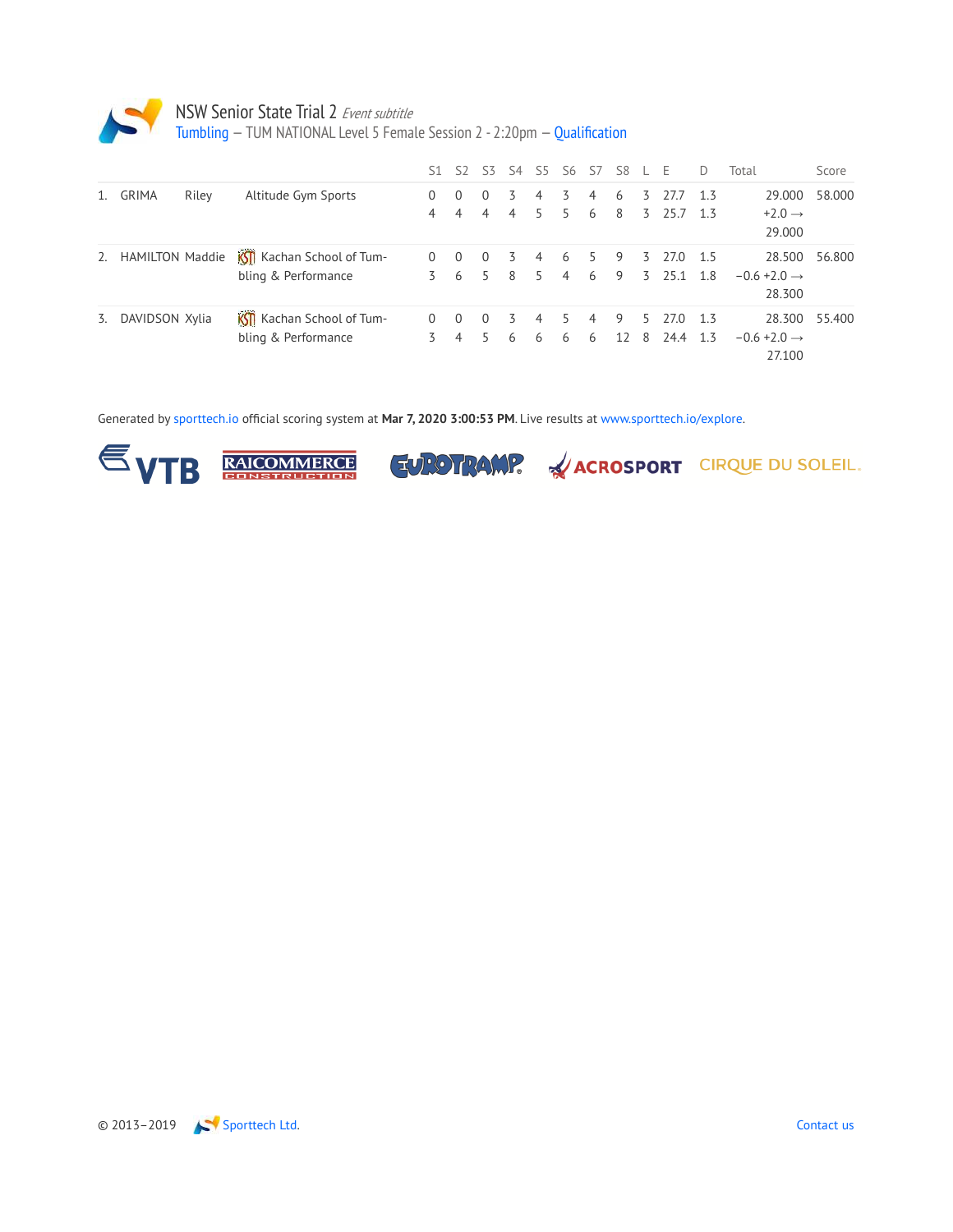

Tumbling — TUM NATIONAL Level 5 Female Session 2 - 2:20pm — Qualification

|    |                        |       |                                                          | 51.      | 52                         | 53.                        | S4     | S5      |         | S6 S7               | S8      |         | F                | D            | Total                                        | Score  |
|----|------------------------|-------|----------------------------------------------------------|----------|----------------------------|----------------------------|--------|---------|---------|---------------------|---------|---------|------------------|--------------|----------------------------------------------|--------|
| 1. | <b>GRIMA</b>           | Riley | Altitude Gym Sports                                      | 0<br>4   | $\Omega$<br>$\overline{4}$ | $\Omega$<br>$\overline{4}$ | 3<br>4 | 4<br>5. | 3<br>5. | 4<br>6              | 6<br>8  | 3<br>3  | 277<br>25.7      | 13<br>1.3    | 29.000<br>$+2.0 \rightarrow$<br>29.000       | 58.000 |
| 2. | <b>HAMILTON Maddie</b> |       | Kothan School of Tum-<br>bling & Performance             | $\Omega$ | $\Omega$<br>6              | $\Omega$<br>5.             | 3<br>8 | 4<br>5  | 6<br>4  | 5.<br>6             | 9<br>9  | 3.<br>3 | 27.0<br>251      | - 1.5<br>1.8 | 28.500<br>$-0.6 + 2.0 \rightarrow$<br>28.300 | 56.800 |
| 3. | DAVIDSON Xylia         |       | <b>KSTI</b> Kachan School of Tum-<br>bling & Performance | $\Omega$ | $\Omega$<br>4              | $\Omega$                   | 3<br>6 | 4<br>6  | 6       | $\overline{4}$<br>6 | 9<br>12 | 5.<br>8 | 27.0<br>24.4 1.3 | 13           | 28.300<br>$-0.6 + 2.0 \rightarrow$<br>27.100 | 55.400 |

Generated by sporttech.io official scoring system at **Mar 7, 2020 3:00:53 PM**. Live results at www.sporttech.io/explore.







**EUROTRAMP.** WACROSPORT CIRQUE DU SOLEIL.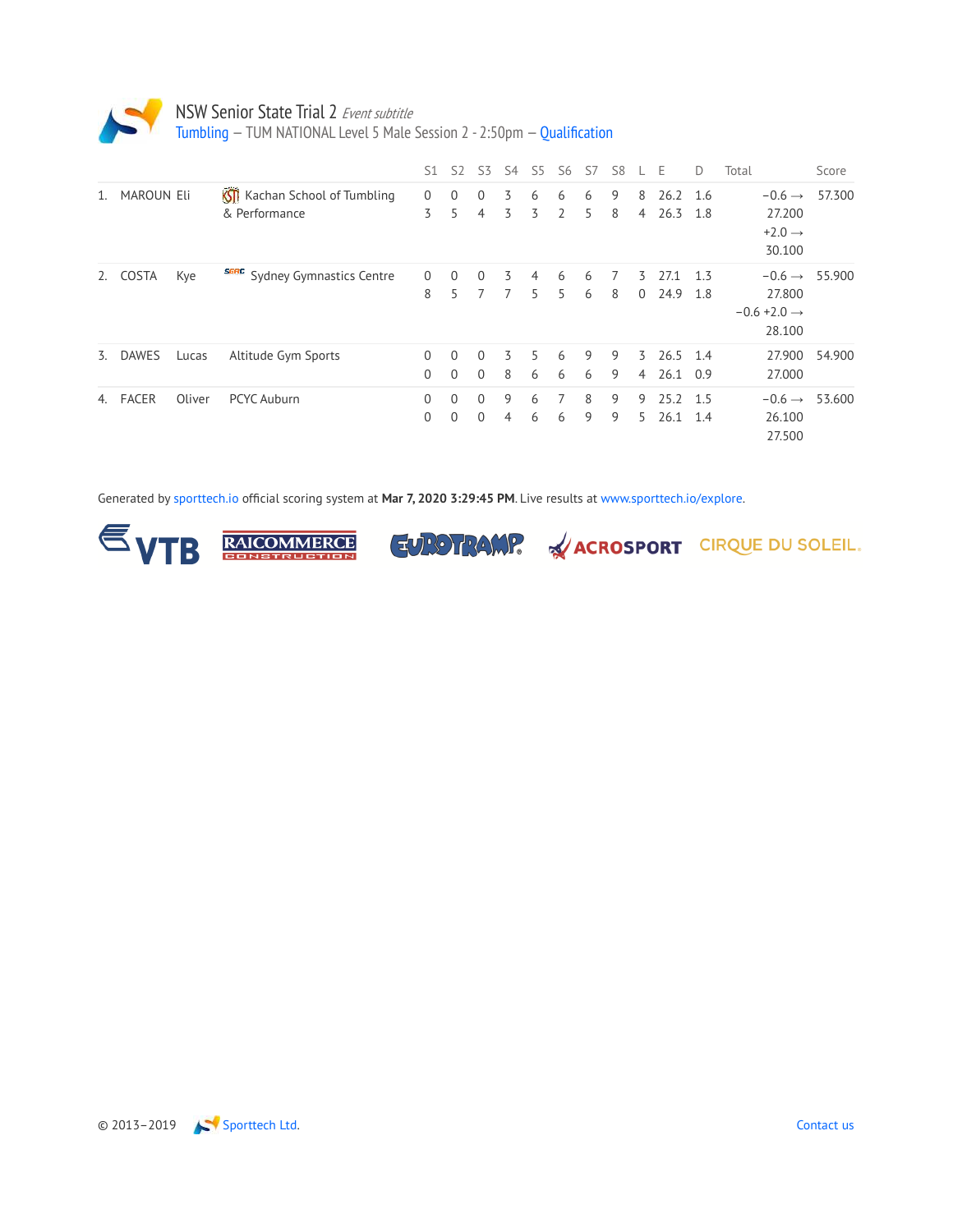

Tumbling — TUM NATIONAL Level 5 Male Session 2 - 2:50pm — Qualification

|         |                   |        |                                                        | S <sub>1</sub>       | 52                   | 53                   | 54     | S5      | S6      | S7     | S8     |                     | E                    | D          | Total                                                                     | Score  |
|---------|-------------------|--------|--------------------------------------------------------|----------------------|----------------------|----------------------|--------|---------|---------|--------|--------|---------------------|----------------------|------------|---------------------------------------------------------------------------|--------|
| $1_{-}$ | <b>MAROUN Eli</b> |        | <b>KSTI</b> Kachan School of Tumbling<br>& Performance | $\Omega$<br>3        | $\Omega$<br>5        | $\Omega$<br>4        | 3<br>3 | 6<br>3  | 6<br>2  | 6<br>5 | 9<br>8 | 8<br>4              | 26.2 1.6<br>26.3     | 1.8        | $-0.6 \rightarrow$<br>27.200<br>$+2.0 \rightarrow$<br>30.100              | 57.300 |
| 2.      | COSTA             | Kye    | <b>SGRC</b> Sydney Gymnastics Centre                   | $\mathbf{0}$<br>8    | $\mathbf 0$<br>5     | $\Omega$<br>7        | 3<br>7 | 4<br>5  | 6<br>5. | 6<br>6 | 7<br>8 | 3<br>$\overline{0}$ | 27.1<br>24.9         | 1.3<br>1.8 | $-0.6 \rightarrow 55.900$<br>27,800<br>$-0.6 + 2.0 \rightarrow$<br>28.100 |        |
|         | 3. DAWES          | Lucas  | Altitude Gym Sports                                    | $\Omega$<br>0        | $\Omega$<br>$\Omega$ | $\Omega$<br>$\Omega$ | 3<br>8 | 5.<br>6 | 6<br>6  | 9<br>6 | 9<br>9 | 4                   | 3 26.5 1.4<br>26.1   | 0.9        | 27.900<br>27,000                                                          | 54.900 |
| 4.      | <b>FACER</b>      | Oliver | PCYC Auburn                                            | $\Omega$<br>$\Omega$ | $\Omega$<br>$\Omega$ | $\Omega$<br>$\Omega$ | 9<br>4 | 6<br>6  | 7<br>6  | 8<br>9 | 9<br>9 | 9<br>5.             | 25.2 1.5<br>26.1 1.4 |            | $-0.6 \rightarrow$<br>26.100<br>27.500                                    | 53.600 |

Generated by sporttech.io official scoring system at **Mar 7, 2020 3:29:45 PM**. Live results at www.sporttech.io/explore.







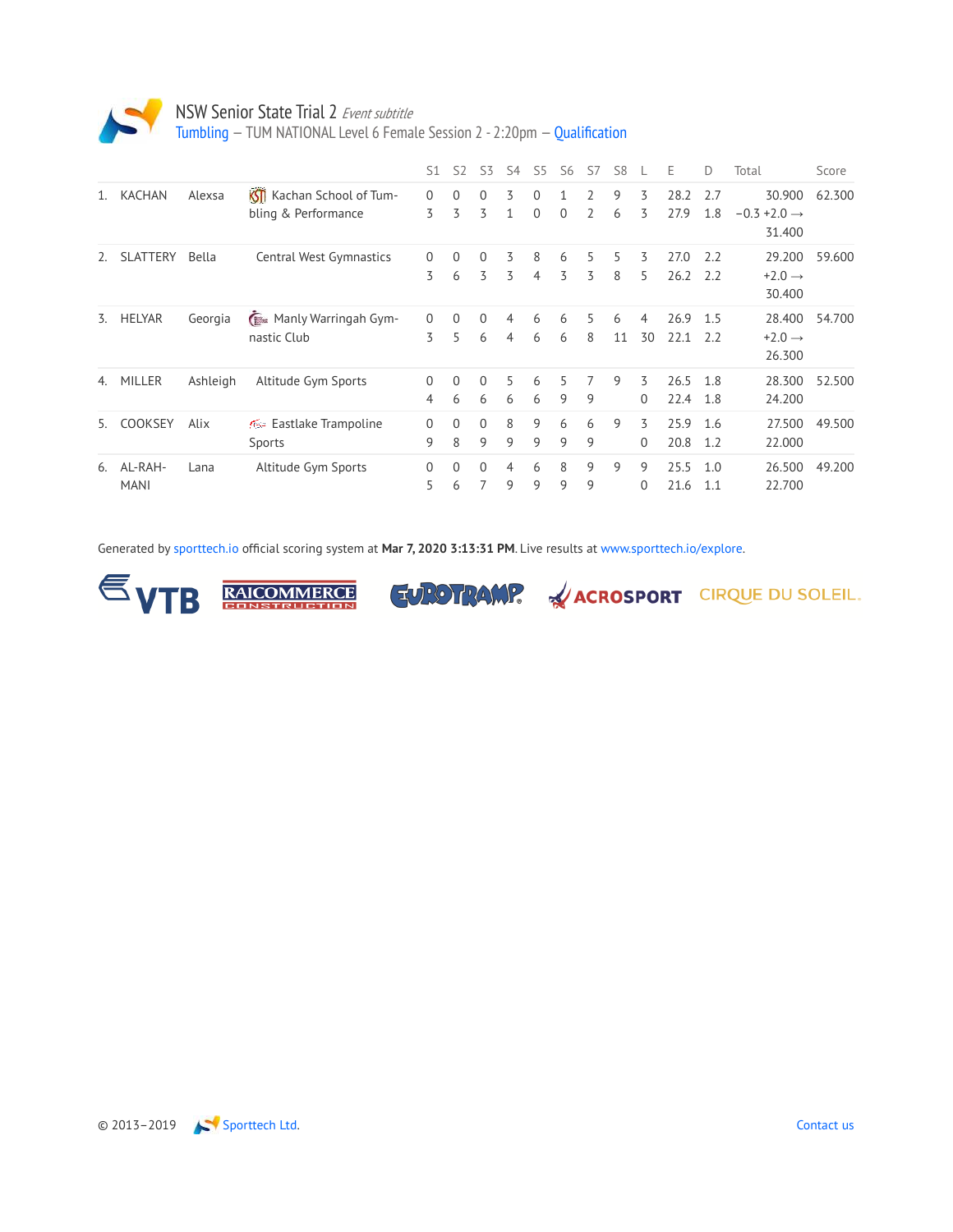

Tumbling — TUM NATIONAL Level 6 Female Session 2 - 2:20pm — Qualification

|                |                        |          |                                                          | S1                         | 52                | S <sub>3</sub> | S4     | S5                   | S6       | S7                               | S8      |               | Е            | D          | Total                                        | Score  |
|----------------|------------------------|----------|----------------------------------------------------------|----------------------------|-------------------|----------------|--------|----------------------|----------|----------------------------------|---------|---------------|--------------|------------|----------------------------------------------|--------|
| $\mathbf{1}$ . | <b>KACHAN</b>          | Alexsa   | <b>KSTI</b> Kachan School of Tum-<br>bling & Performance | $\mathbf{0}$<br>3          | $\Omega$<br>3     | $\Omega$<br>3  | 3      | $\Omega$<br>$\Omega$ | $\Omega$ | $\overline{2}$<br>$\overline{2}$ | 9<br>6  | 3<br>3        | 28.2<br>27.9 | 2.7<br>1.8 | 30.900<br>$-0.3 + 2.0 \rightarrow$<br>31.400 | 62.300 |
| 2.             | <b>SLATTERY</b>        | Bella    | Central West Gymnastics                                  | $\mathbf{0}$<br>3          | $\mathbf{0}$<br>6 | $\Omega$<br>3  | 3<br>3 | 8<br>4               | 6<br>3   | 5<br>3                           | 5<br>8  | 3<br>5        | 27.0<br>26.2 | 2.2<br>2.2 | 29.200<br>$+2.0 \rightarrow$<br>30.400       | 59.600 |
| 3.             | <b>HELYAR</b>          | Georgia  | <b>E</b> Manly Warringah Gym-<br>nastic Club             | $\Omega$<br>3              | 0<br>5            | $\Omega$<br>6  | 4<br>4 | 6<br>6               | 6<br>6   | 5<br>8                           | 6<br>11 | 4<br>30       | 26.9<br>22.1 | 1.5<br>2.2 | 28.400<br>$+2.0 \rightarrow$<br>26.300       | 54.700 |
| 4.             | MILLER                 | Ashleigh | Altitude Gym Sports                                      | $\Omega$<br>$\overline{4}$ | $\Omega$<br>6     | $\Omega$<br>6  | 5<br>6 | 6<br>6               | 5.<br>9  | 7<br>9                           | 9       | 3<br>$\Omega$ | 26.5<br>22.4 | 1.8<br>1.8 | 28.300<br>24.200                             | 52.500 |
| 5.             | COOKSEY                | Alix     | <b>Example 15</b> Eastlake Trampoline<br>Sports          | $\Omega$<br>9              | $\Omega$<br>8     | $\Omega$<br>9  | 8<br>9 | 9<br>9               | 6<br>9   | 6<br>9                           | 9       | 3<br>0        | 25.9<br>20.8 | 1.6<br>1.2 | 27.500<br>22.000                             | 49.500 |
| 6.             | AL-RAH-<br><b>MANI</b> | Lana     | Altitude Gym Sports                                      | $\Omega$<br>5.             | $\Omega$<br>6     | $\Omega$<br>7  | 4<br>9 | 6<br>9               | 8<br>9   | 9<br>9                           | 9       | 9<br>$\Omega$ | 25.5<br>21.6 | 1.0<br>1.1 | 26.500<br>22.700                             | 49.200 |

Generated by sporttech.io official scoring system at **Mar 7, 2020 3:13:31 PM**. Live results at www.sporttech.io/explore.





**EUROTRAMP.** WACROSPORT CIRQUE DU SOLEIL.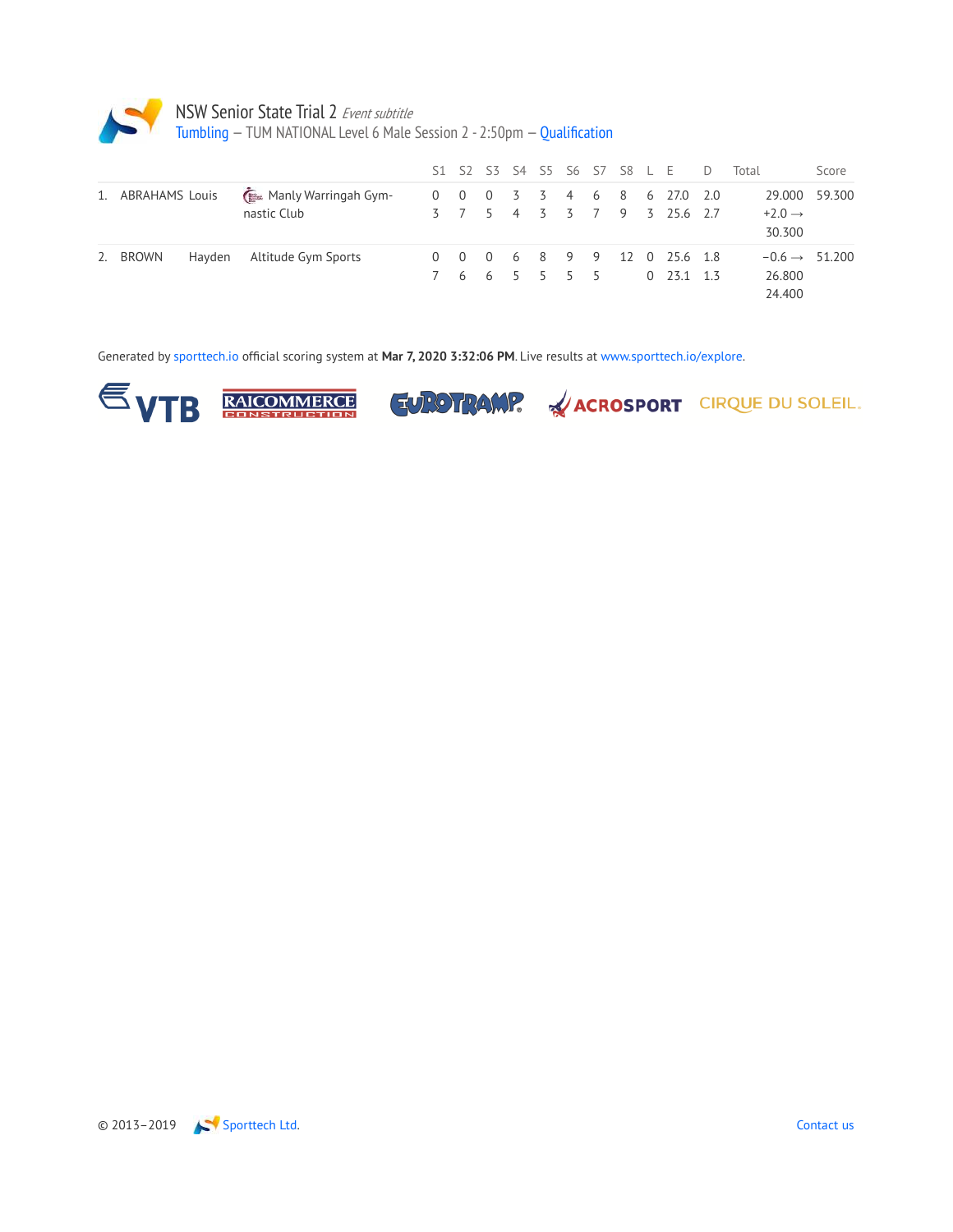

|    |                   |        |                                     |  |               |  |  | S1 S2 S3 S4 S5 S6 S7 S8 L E D                            | Total                                         | Score  |
|----|-------------------|--------|-------------------------------------|--|---------------|--|--|----------------------------------------------------------|-----------------------------------------------|--------|
|    | 1. ABRAHAMS Louis |        | Manly Warringah Gym-<br>nastic Club |  |               |  |  | 0 0 0 3 3 4 6 8 6 27.0 2.0<br>3 7 5 4 3 3 7 9 3 25.6 2.7 | 29.000<br>$+2.0 \rightarrow$<br>30.300        | 59.300 |
| 2. | <b>BROWN</b>      | Hayden | Altitude Gym Sports                 |  | 7 6 6 5 5 5 5 |  |  | 0 0 0 6 8 9 9 12 0 25.6 1.8<br>$0$ 23.1 1.3              | $-0.6 \rightarrow 51.200$<br>26.800<br>24.400 |        |

Generated by sporttech.io official scoring system at **Mar 7, 2020 3:32:06 PM**. Live results at www.sporttech.io/explore.



**RAICOMMERCE** 

**EUROTRAMP.** WACROSPORT CIRQUE DU SOLEIL.

© 2013–2019 Sporttech Ltd. Contact us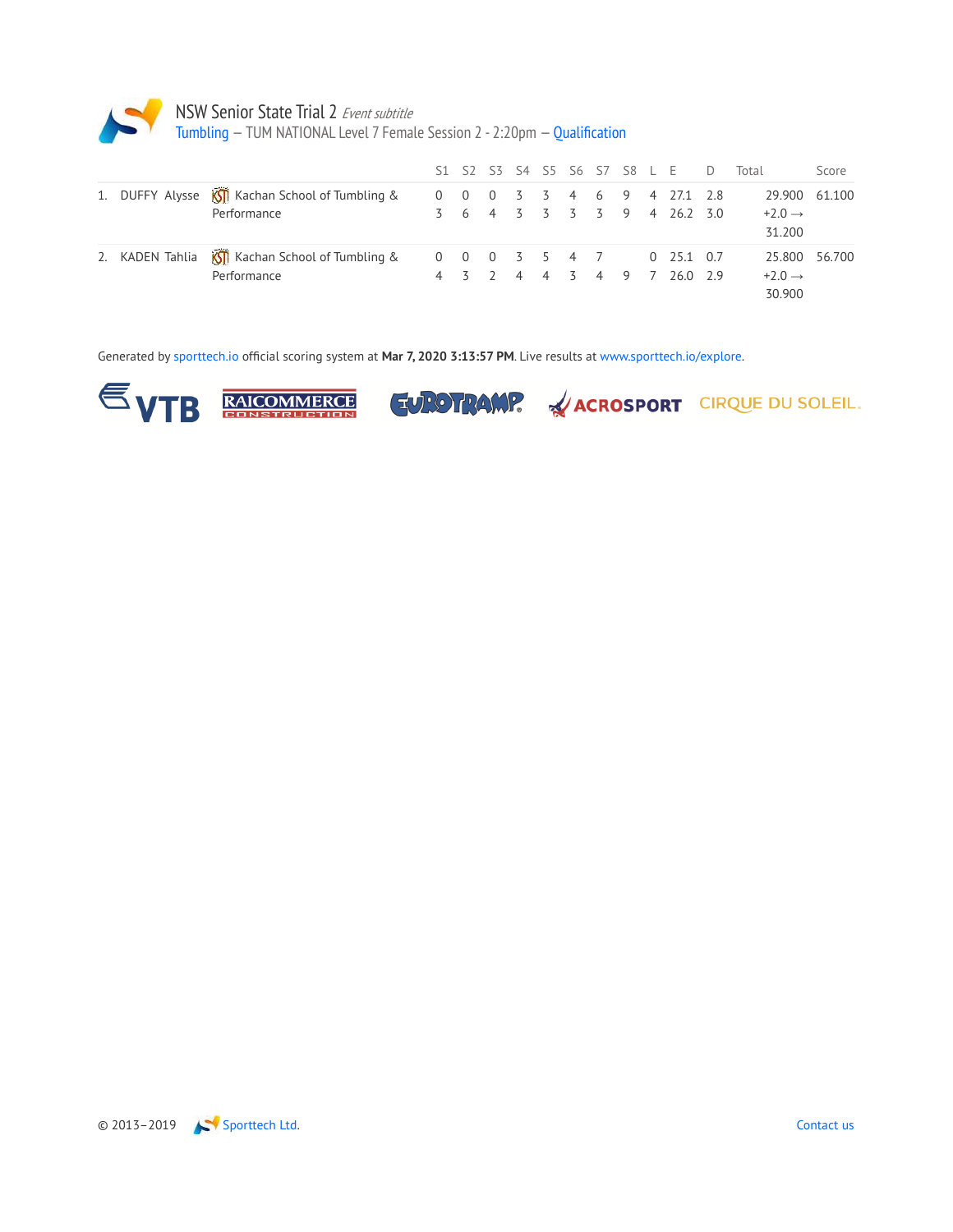

Tumbling — TUM NATIONAL Level 7 Female Session 2 - 2:20pm — Qualification

|  |                                                                |             |  |           |  |  | S1 S2 S3 S4 S5 S6 S7 S8 L E D                        | Total                                         | Score |
|--|----------------------------------------------------------------|-------------|--|-----------|--|--|------------------------------------------------------|-----------------------------------------------|-------|
|  | 1. DUFFY Alysse KI Kachan School of Tumbling &<br>Performance  | $0 \quad 0$ |  |           |  |  | 0 3 3 4 6 9 4 27.1 2.8<br>3 6 4 3 3 3 3 9 4 26.2 3.0 | 29.900 61.100<br>$+2.0 \rightarrow$<br>31.200 |       |
|  | 2. KADEN Tahlia KII Kachan School of Tumbling &<br>Performance | $0\quad 0$  |  | 0 3 5 4 7 |  |  | $0$ 25.1 0.7<br>4 3 2 4 4 3 4 9 7 260 29             | 25.800 56.700<br>$+2.0 \rightarrow$<br>30.900 |       |

Generated by sporttech.io official scoring system at **Mar 7, 2020 3:13:57 PM**. Live results at www.sporttech.io/explore.



**RAICOMMERCE** 

**EUROTRAMP.** WACROSPORT CIRQUE DU SOLEIL.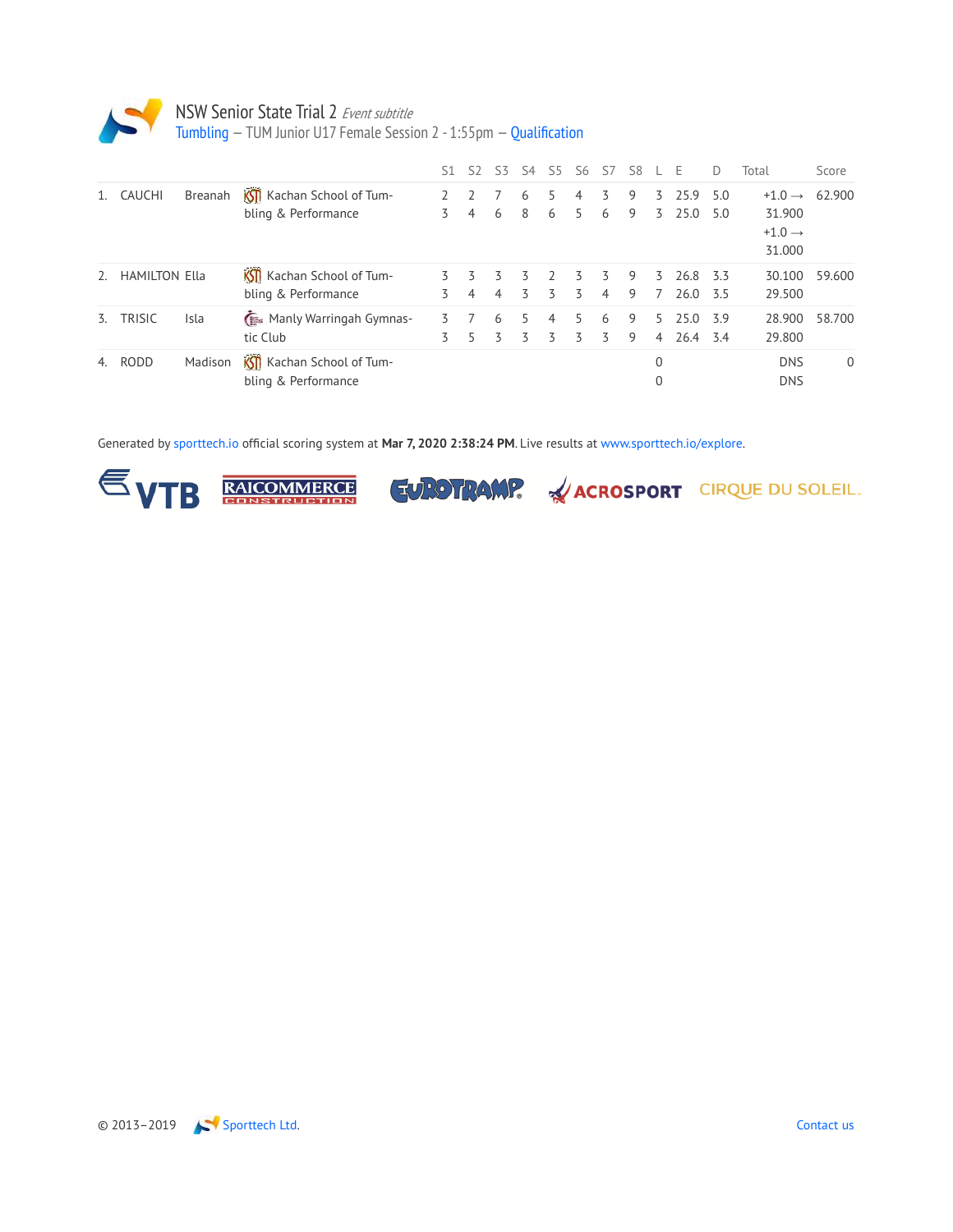

Tumbling — TUM Junior U17 Female Session 2 - 1:55pm — Qualification

|               |                      |                |                                                   | S1     | 52     | 53     | 54      | S5             | S6     | S7                   | S8     |                      | F            | $\Box$     | Total                                                        | Score        |
|---------------|----------------------|----------------|---------------------------------------------------|--------|--------|--------|---------|----------------|--------|----------------------|--------|----------------------|--------------|------------|--------------------------------------------------------------|--------------|
|               | <b>CAUCHI</b>        | <b>Breanah</b> | Kill Kachan School of Tum-<br>bling & Performance | 3      | 4      | 6      | 6<br>8  | 6              | 4<br>5 | 3<br>6               | 9<br>9 | 3.<br>$\overline{5}$ | 25.9<br>25.0 | 5.0<br>5.0 | $+1.0 \rightarrow$<br>31.900<br>$+1.0 \rightarrow$<br>31.000 | 62.900       |
| $\mathcal{L}$ | <b>HAMILTON Ella</b> |                | KSTI Kachan School of Tum-<br>bling & Performance | 3      | 3<br>4 | 3<br>4 | 3<br>3  | 3              | 3<br>3 | 3.<br>$\overline{4}$ | 9<br>9 | 3.<br>7              | 26.8<br>26.0 | 3.3<br>3.5 | 30.100<br>29.500                                             | 59.600       |
| 3.            | <b>TRISIC</b>        | Isla           | Manly Warringah Gymnas-<br>tic Club               | 3<br>3 |        | 6      | 5.<br>3 | $\overline{4}$ | 5<br>3 | 6<br>3               | 9<br>9 | 5.<br>4              | 25.0<br>26.4 | 3.9<br>3.4 | 28.900<br>29.800                                             | 58.700       |
|               | 4. RODD              | Madison        | KSII Kachan School of Tum-<br>bling & Performance |        |        |        |         |                |        |                      |        | 0<br>$\Omega$        |              |            | <b>DNS</b><br><b>DNS</b>                                     | $\mathbf{0}$ |

Generated by sporttech.io official scoring system at **Mar 7, 2020 2:38:24 PM**. Live results at www.sporttech.io/explore.



RAICOMMERCE TUROTRAMP. WACROSPORT CIRQUE DU SOLEIL.

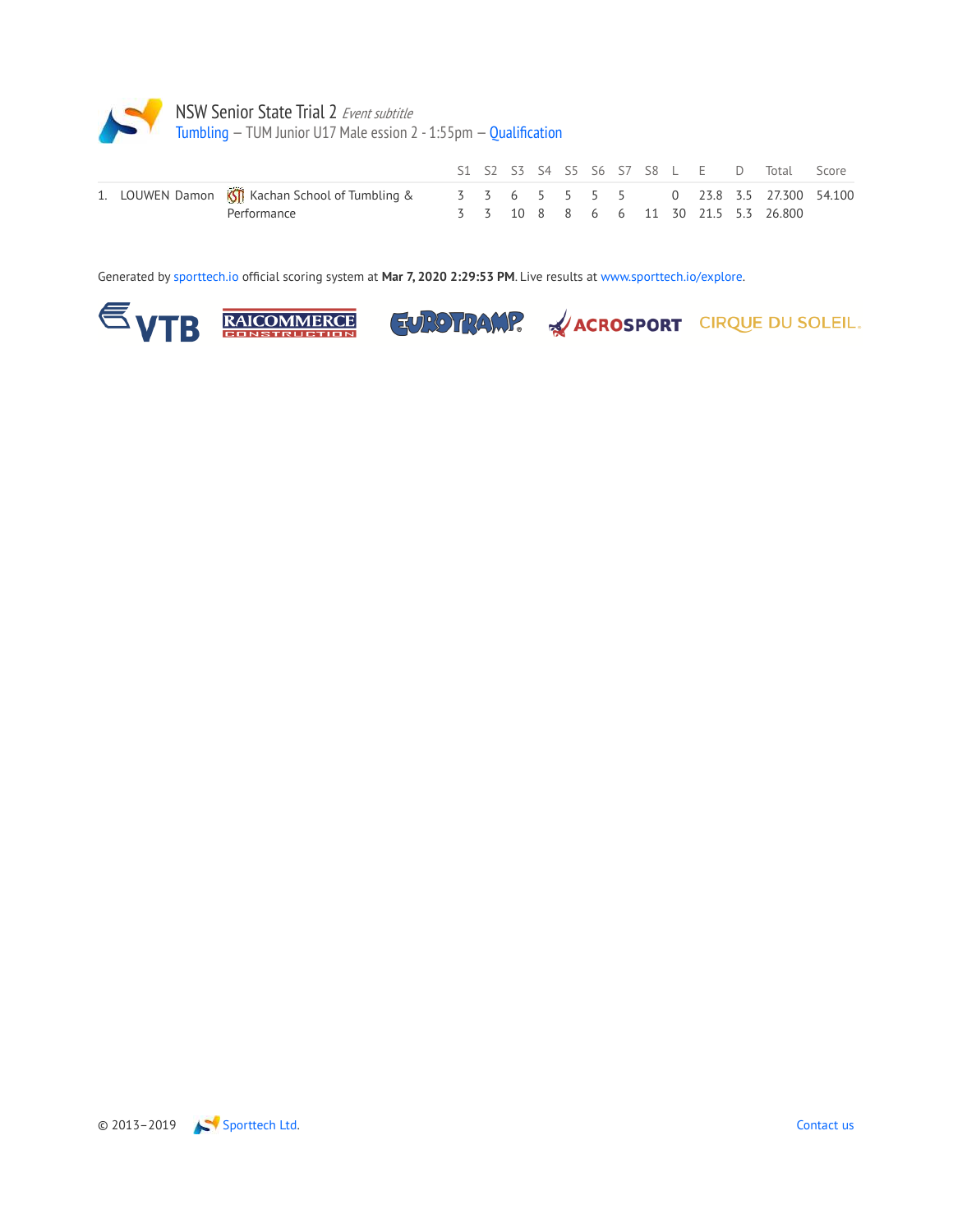

|  |                                                                                                 |  |  |  |  |  | S1 S2 S3 S4 S5 S6 S7 S8 L E D Total Score |  |
|--|-------------------------------------------------------------------------------------------------|--|--|--|--|--|-------------------------------------------|--|
|  | 1. LOUWEN Damon <b>KII</b> Kachan School of Tumbling & 3 3 6 5 5 5 5 6 0 23.8 3.5 27.300 54.100 |  |  |  |  |  |                                           |  |
|  | Performance                                                                                     |  |  |  |  |  | 3 3 10 8 8 6 6 11 30 21.5 5.3 26.800      |  |

Generated by sporttech.io official scoring system at **Mar 7, 2020 2:29:53 PM**. Live results at www.sporttech.io/explore.







© 2013–2019 Sporttech Ltd. Contact us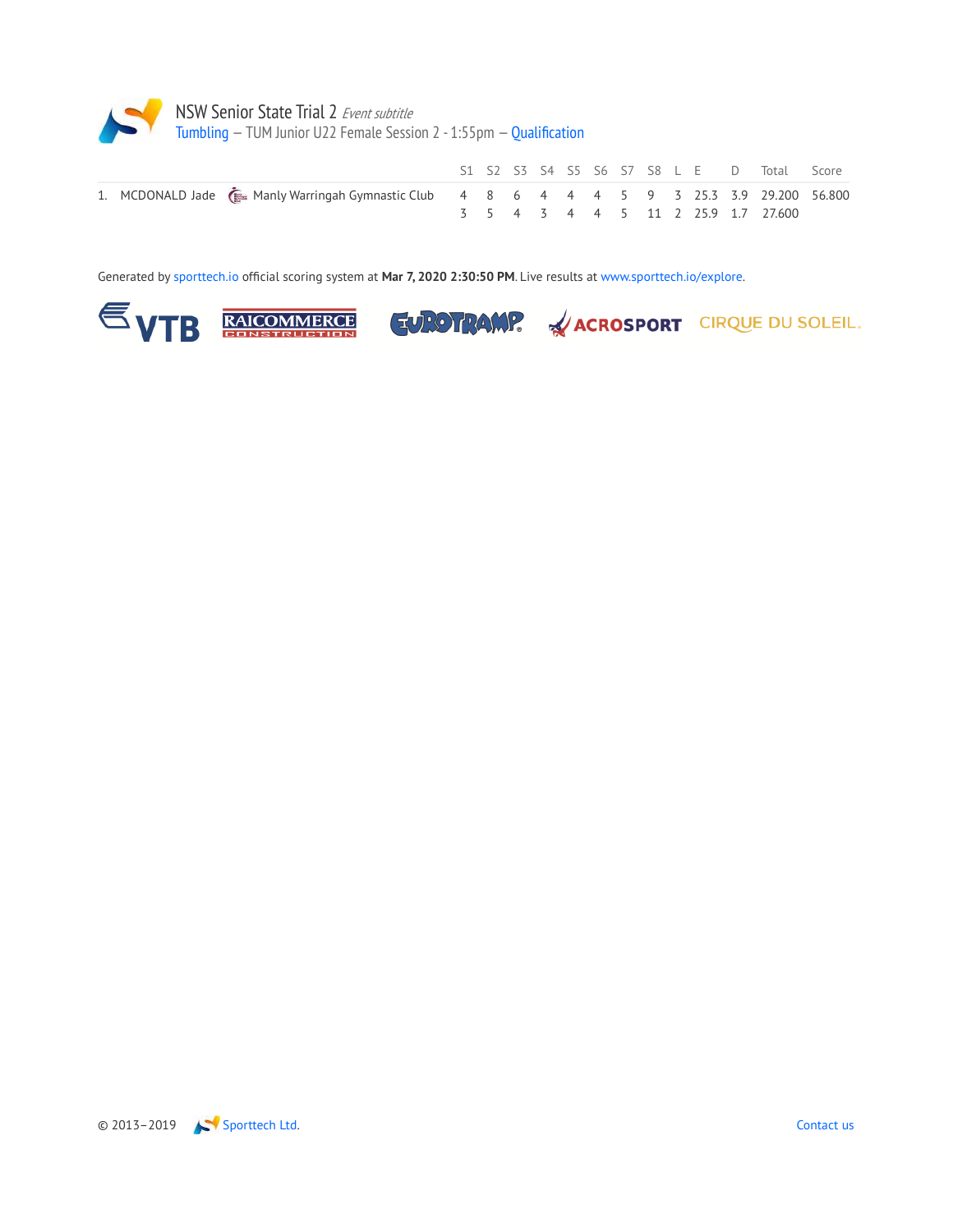

|  |                                                                                             |  |  |  |  |  | S1 S2 S3 S4 S5 S6 S7 S8 L E D Total Score |  |
|--|---------------------------------------------------------------------------------------------|--|--|--|--|--|-------------------------------------------|--|
|  | 1. MCDONALD Jade (E Manly Warringah Gymnastic Club 4 8 6 4 4 4 5 9 3 25.3 3.9 29.200 56.800 |  |  |  |  |  |                                           |  |
|  |                                                                                             |  |  |  |  |  | 3 5 4 3 4 4 5 11 2 25.9 1.7 27.600        |  |

Generated by sporttech.io official scoring system at **Mar 7, 2020 2:30:50 PM**. Live results at www.sporttech.io/explore.







**EUROTRAMP.** <u>ACROSPORT CIRQUE DU SOLEIL.</u>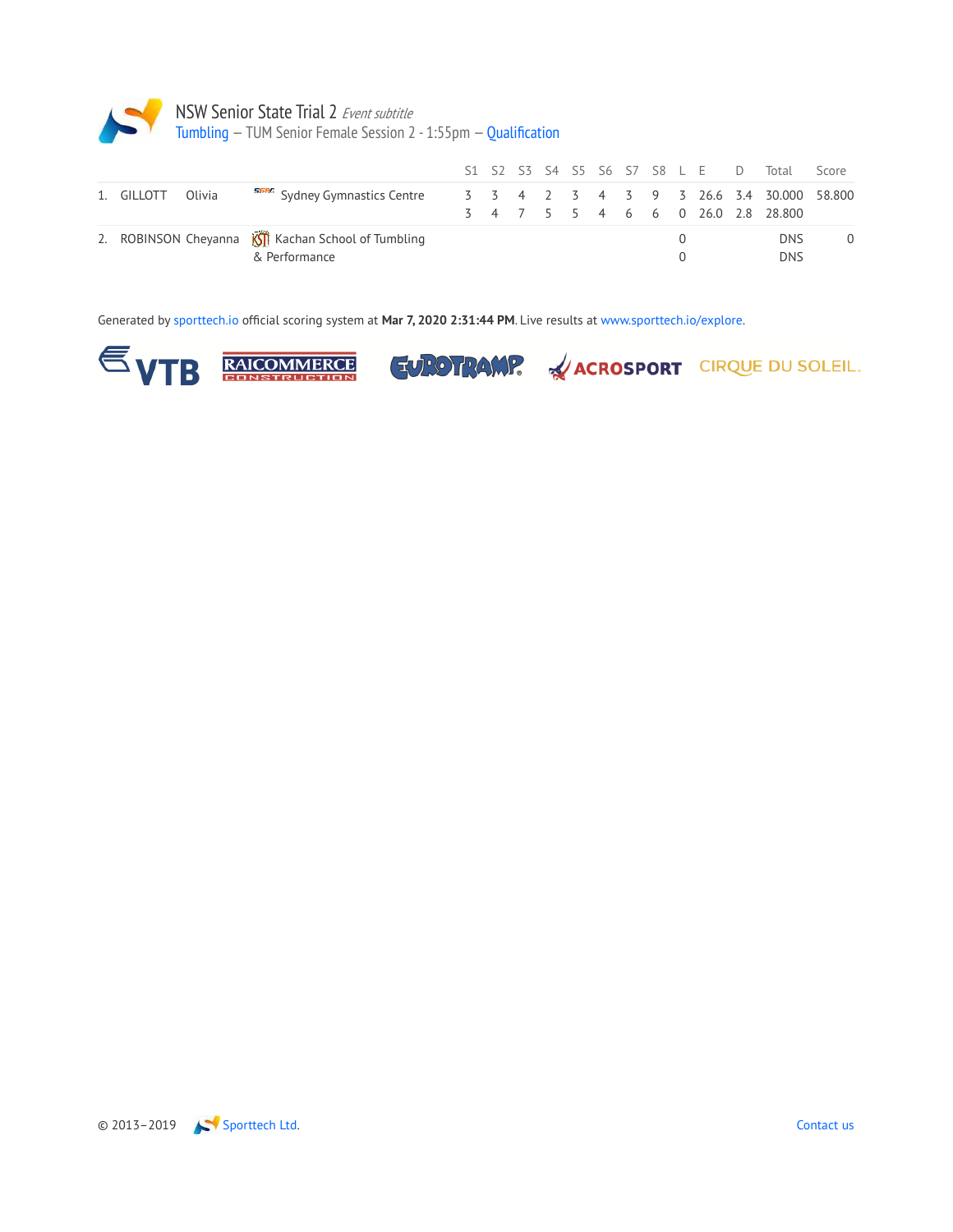

|  |                                                                                                 |  |  |  |  |                  |  | S1 S2 S3 S4 S5 S6 S7 S8 L E D Total | Score    |
|--|-------------------------------------------------------------------------------------------------|--|--|--|--|------------------|--|-------------------------------------|----------|
|  | 1. GILLOTT Olivia <b>SERG</b> Sydney Gymnastics Centre 3 3 4 2 3 4 3 9 3 26.6 3.4 30.000 58.800 |  |  |  |  |                  |  | 3 4 7 5 5 4 6 6 0 26.0 2.8 28.800   |          |
|  | 2. ROBINSON Cheyanna KII Kachan School of Tumbling<br>& Performance                             |  |  |  |  | $\left( \right)$ |  | <b>DNS</b><br><b>DNS</b>            | $\Omega$ |

Generated by sporttech.io official scoring system at **Mar 7, 2020 2:31:44 PM**. Live results at www.sporttech.io/explore.







EUROTRAMP. & ACROSPORT CIRQUE DU SOLEIL.

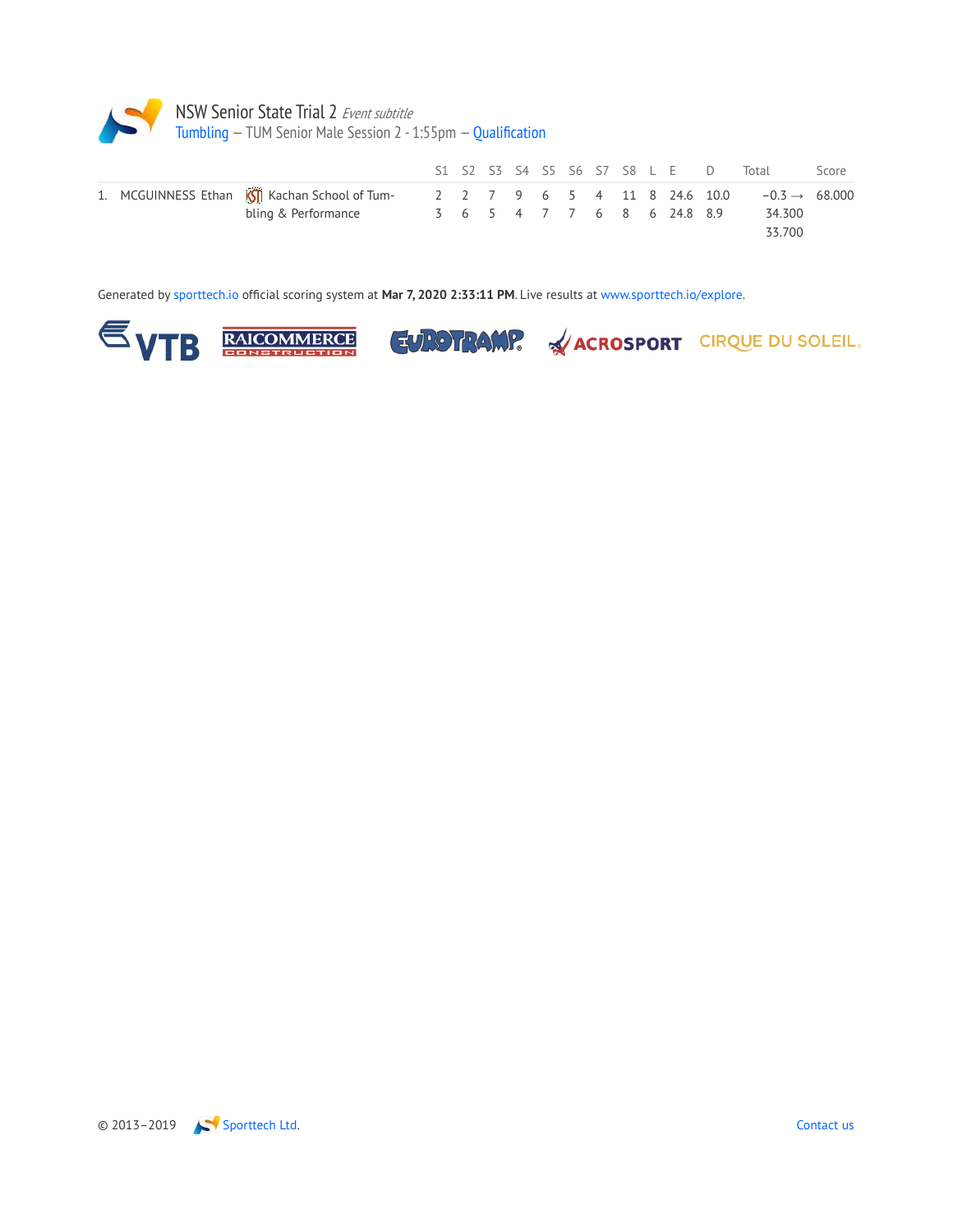

|  |                                                |  |  |  |  | S1 S2 S3 S4 S5 S6 S7 S8 L E D |                              | Total                     | Score |
|--|------------------------------------------------|--|--|--|--|-------------------------------|------------------------------|---------------------------|-------|
|  | 1. MCGUINNESS Ethan KSII Kachan School of Tum- |  |  |  |  |                               | 2 2 7 9 6 5 4 11 8 24.6 10.0 | $-0.3 \rightarrow 68.000$ |       |
|  | bling & Performance                            |  |  |  |  | 3 6 5 4 7 7 6 8 6 24.8 8.9    |                              | 34.300                    |       |
|  |                                                |  |  |  |  |                               |                              | 33.700                    |       |

Generated by sporttech.io official scoring system at **Mar 7, 2020 2:33:11 PM**. Live results at www.sporttech.io/explore.







**ACROSPORT** CIRQUE DU SOLEIL.

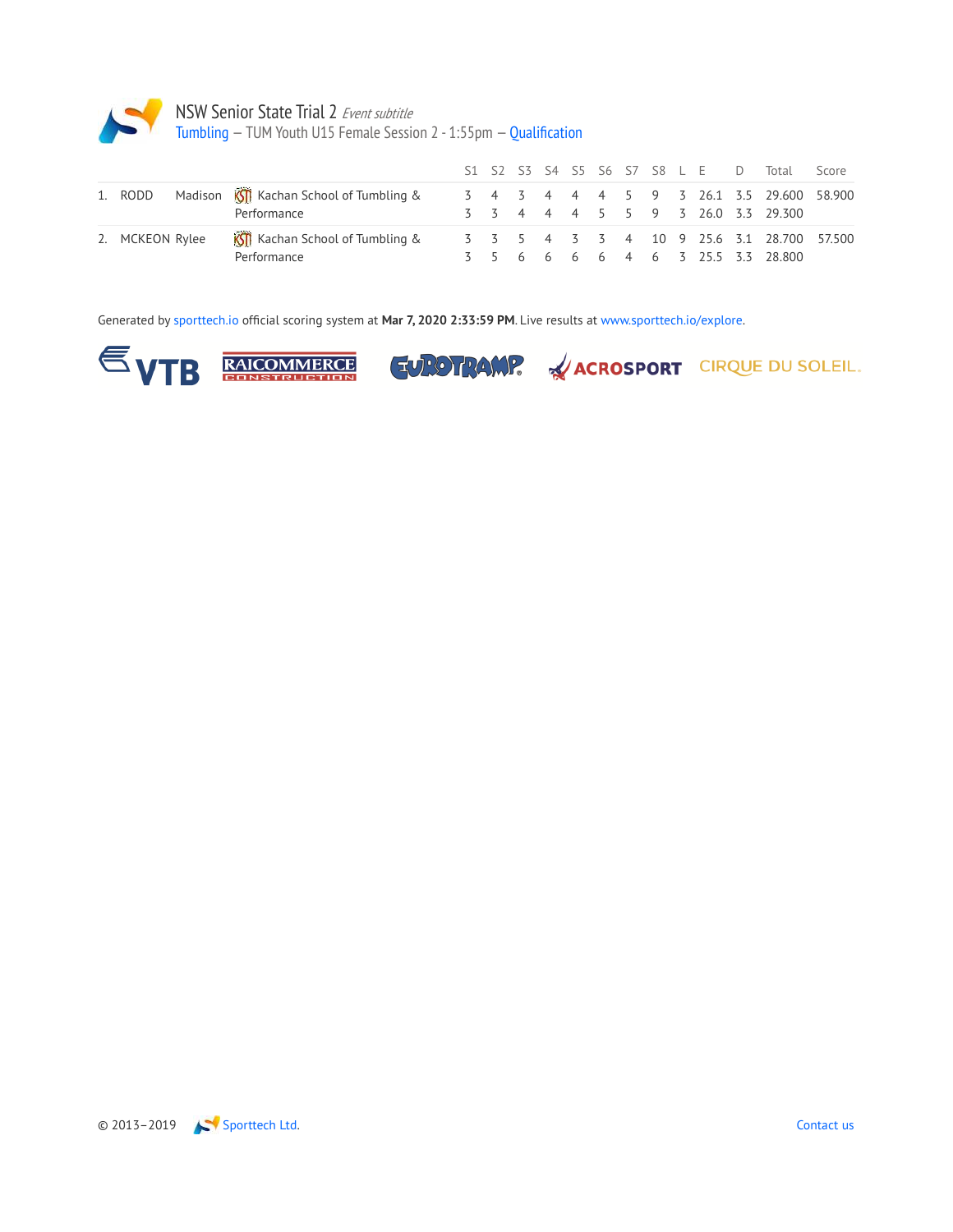

|                 |                                                                       |  |  |  |  |  | S1 S2 S3 S4 S5 S6 S7 S8 L E D Total Score                                     |  |
|-----------------|-----------------------------------------------------------------------|--|--|--|--|--|-------------------------------------------------------------------------------|--|
|                 | 1. RODD Madison <b>KIT</b> Kachan School of Tumbling &<br>Performance |  |  |  |  |  | 3 4 3 4 4 4 5 9 3 26.1 3.5 29.600 58.900<br>3 3 4 4 4 5 5 9 3 26.0 3.3 29.300 |  |
| 2. MCKEON Rylee | <b>KSTI</b> Kachan School of Tumbling &<br>Performance                |  |  |  |  |  | 3 5 6 6 6 6 4 6 3 25.5 3.3 28.800                                             |  |

Generated by sporttech.io official scoring system at **Mar 7, 2020 2:33:59 PM**. Live results at www.sporttech.io/explore.







EUROTRAMP. & ACROSPORT CIRQUE DU SOLEIL.